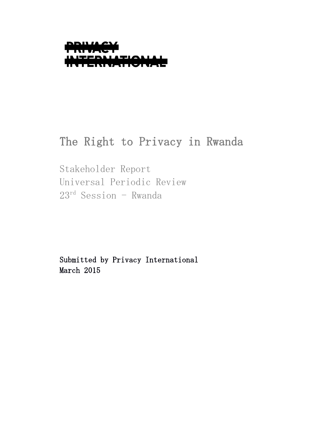

# The Right to Privacy in Rwanda

Stakeholder Report Universal Periodic Review  $23^{rd}$  Session - Rwanda

Submitted by Privacy International March 2015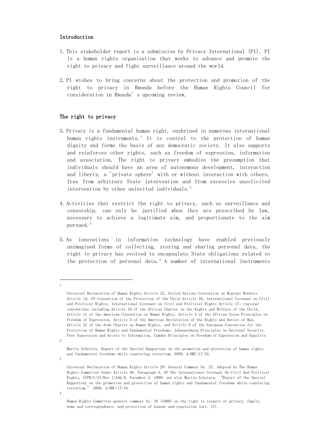# Introduction

- 1. This stakeholder report is a submission by Privacy International (PI). PI is a human rights organisation that works to advance and promote the right to privacy and fight surveillance around the world.
- 2. PI wishes to bring concerns about the protection and promotion of the right to privacy in Rwanda before the Human Rights Council for consideration in Rwanda's upcoming review.

# The right to privacy

- 3. Privacy is a fundamental human right, enshrined in numerous international human rights instruments.<sup>1</sup> It is central to the protection of human dignity and forms the basis of any democratic society. It also supports and reinforces other rights, such as freedom of expression, information and association. The right to privacy embodies the presumption that individuals should have an area of autonomous development, interaction and liberty, a 'private sphere' with or without interaction with others, free from arbitrary State intervention and from excessive unsolicited intervention by other uninvited individuals.<sup>2</sup>
- 4. Activities that restrict the right to privacy, such as surveillance and censorship, can only be justified when they are prescribed by law, necessary to achieve a legitimate aim, and proportionate to the aim pursued. $3$
- 5. As innovations in information technology have enabled previously unimagined forms of collecting, storing and sharing personal data, the right to privacy has evolved to encapsulate State obligations related to the protection of personal data.<sup>4</sup> A number of international instruments

2

3

4

L, 1

Human Rights Committee general comment No. 16 (1988) on the right to respect of privacy, family, home and correspondence, and protection of honour and reputation (art. 17).

Universal Declaration of Human Rights Article 12, United Nations Convention on Migrant Workers Article 14, UN Convention of the Protection of the Child Article 16, International Covenant on Civil and Political Rights, International Covenant on Civil and Political Rights Article 17; regional conventions including Article 10 of the African Charter on the Rights and Welfare of the Child, Article 11 of the American Convention on Human Rights, Article 4 of the African Union Principles on Freedom of Expression, Article 5 of the American Declaration of the Rights and Duties of Man, Article 21 of the Arab Charter on Human Rights, and Article 8 of the European Convention for the Protection of Human Rights and Fundamental Freedoms; Johannesburg Principles on National Security, Free Expression and Access to Information, Camden Principles on Freedom of Expression and Equality.

Martin Scheinin, Report of the Special Rapporteur on the promotion and protection of human rights and fundamental freedoms while countering terrorism, 2009, A/HRC/17/34.

Universal Declaration of Human Rights Article 29; General Comment No. 27, Adopted by The Human Rights Committee Under Article 40, Paragraph 4, Of The International Covenant On Civil And Political Rights, CCPR/C/21/Rev.1/Add.9, November 2, 1999; see also Martin Scheinin, "Report of the Special Rapporteur on the promotion and protection of human rights and fundamental freedoms while countering terrorism," 2009, A/HRC/17/34.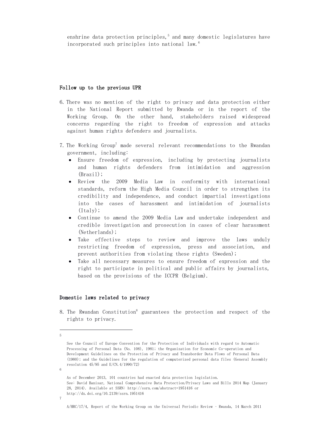enshrine data protection principles, $5$  and many domestic legislatures have incorporated such principles into national law.6

# Follow up to the previous UPR

- 6. There was no mention of the right to privacy and data protection either in the National Report submitted by Rwanda or in the report of the Working Group. On the other hand, stakeholders raised widespread concerns regarding the right to freedom of expression and attacks against human rights defenders and journalists.
- 7. The Working Group<sup>7</sup> made several relevant recommendations to the Rwandan government, including:
	- Ensure freedom of expression, including by protecting journalists and human rights defenders from intimidation and aggression (Brazil);
	- Review the 2009 Media Law in conformity with international standards, reform the High Media Council in order to strengthen its credibility and independence, and conduct impartial investigations into the cases of harassment and intimidation of journalists  $(Italy)$ ;
	- Continue to amend the 2009 Media Law and undertake independent and credible investigation and prosecution in cases of clear harassment (Netherlands);
	- Take effective steps to review and improve the laws unduly restricting freedom of expression, press and association, and prevent authorities from violating these rights (Sweden);
	- Take all necessary measures to ensure freedom of expression and the right to participate in political and public affairs by journalists, based on the provisions of the ICCPR (Belgium).

### Domestic laws related to privacy

8. The Rwandan Constitution8 guarantees the protection and respect of the rights to privacy.

```
As of December 2013, 101 countries had enacted data protection legislation.
See: David Banisar, National Comprehensive Data Protection/Privacy Laws and Bills 2014 Map (January 
28, 2014). Available at SSRN: http://ssrn.com/abstract=1951416 or 
http://dx.doi.org/10.2139/ssrn.1951416
```
 $\overline{a}$ 5

See the Council of Europe Convention for the Protection of Individuals with regard to Automatic Processing of Personal Data (No. 108), 1981; the Organization for Economic Co-operation and Development Guidelines on the Protection of Privacy and Transborder Data Flows of Personal Data (1980); and the Guidelines for the regulation of computerized personal data files (General Assembly resolution 45/95 and E/CN.4/1990/72)

<sup>6</sup>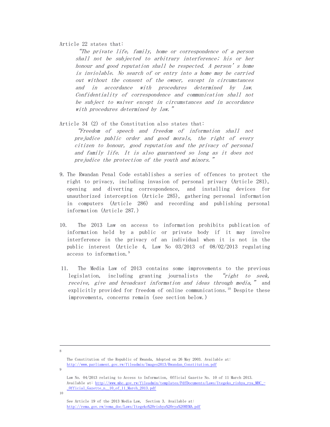# Article 22 states that:

"The private life, family, home or correspondence of a person shall not be subjected to arbitrary interference; his or her honour and good reputation shall be respected. A person's home is inviolable. No search of or entry into a home may be carried out without the consent of the owner, except in circumstances and in accordance with procedures determined by law. Confidentiality of correspondence and communication shall not be subject to waiver except in circumstances and in accordance with procedures determined by law."

Article 34 (2) of the Constitution also states that:

"Freedom of speech and freedom of information shall not prejudice public order and good morals, the right of every citizen to honour, good reputation and the privacy of personal and family life. It is also guaranteed so long as it does not prejudice the protection of the youth and minors."

- 9. The Rwandan Penal Code establishes a series of offences to protect the right to privacy, including invasion of personal privacy (Article 281), opening and diverting correspondence, and installing devices for unauthorized interception (Article 285), gathering personal information in computers (Article 286) and recording and publishing personal information (Article 287.)
- 10. The 2013 Law on access to information prohibits publication of information held by a public or private body if it may involve interference in the privacy of an individual when it is not in the public interest (Article 4, Law No 03/2013 of 08/02/2013 regulating access to information.<sup>9</sup>
- 11. The Media Law of 2013 contains some improvements to the previous legislation, including granting journalists the "right to seek, receive, give and broadcast information and ideas through media," and explicitly provided for freedom of online communications.<sup>10</sup> Despite these improvements, concerns remain (see section below.)

The Constitution of the Republic of Rwanda, Adopted on 26 May 2003. Available at: http://www.parliament.gov.rw/fileadmin/Images2013/Rwandan\_Constitution.pdf

9

8

Law No. 04/2013 relating to Access to Information, Official Gazette No. 10 of 11 March 2013. Available at: http://www.mhc.gov.rw/fileadmin/templates/PdfDocuments/Laws/Itegeko\_rishya\_rya\_MHC\_- \_Official\_Gazette\_n\_\_10\_of\_11\_March\_2013.pdf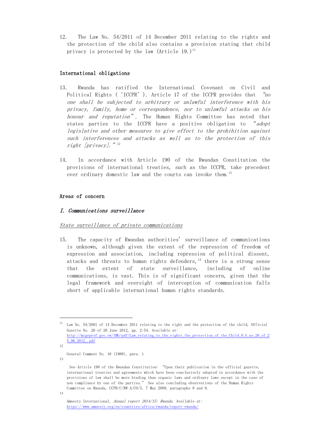12. The Law No. 54/2011 of 14 December 2011 relating to the rights and the protection of the child also contains a provision stating that child privacy is protected by the law  $(Article 19.1)$ <sup>11</sup>

# International obligations

- 13. Rwanda has ratified the International Covenant on Civil and Political Rights ('ICCPR'). Article 17 of the ICCPR provides that "no one shall be subjected to arbitrary or unlawful interference with his privacy, family, home or correspondence, nor to unlawful attacks on his honour and reputation". The Human Rights Committee has noted that states parties to the ICCPR have a positive obligation to "adopt legislative and other measures to give effect to the prohibition against such interferences and attacks as well as to the protection of this right [privacy]."<sup>12</sup>
- 14. In accordance with Article 190 of the Rwandan Constitution the provisions of international treaties, such as the ICCPR, take precedent over ordinary domestic law and the courts can invoke them.<sup>13</sup>

# Areas of concern

# I. Communications surveillance

# State surveillance of private communications

15. The capacity of Rwandan authorities' surveillance of communications is unknown, although given the extent of the repression of freedom of expression and association, including repression of political dissent, attacks and threats to human rights defenders,  $14$  there is a strong sense that the extent of state surveillance, including of online communications, is vast. This is of significant concern, given that the legal framework and oversight of interception of communication falls short of applicable international human rights standards.

j.

12

<sup>11</sup> Law No. 54/2001 of 14 December 2011 relating to the right and the protection of the child, Official Gazette No. 26 of 26 June 2012, pp. 2-54. Available at: http://migeprof.gov.rw/IMG/pdf/Law\_relating\_to\_the\_rights\_the\_protection\_of\_the\_Child\_O\_G\_no\_26\_of\_2 5\_06\_2012\_.pdf

General Comment No. 16 (1988), para. 1

See Article 190 of the Rwandan Constitution: "Upon their publication in the official gazette, international treaties and agreements which have been conclusively adopted in accordance with the provisions of law shall be more binding than organic laws and ordinary laws except in the case of non compliance by one of the parties." See also concluding observations of the Human Rights Committee on Rwanda, CCPR/C/RW A/CO/3, 7 May 2009, paragraphs 8 and 9.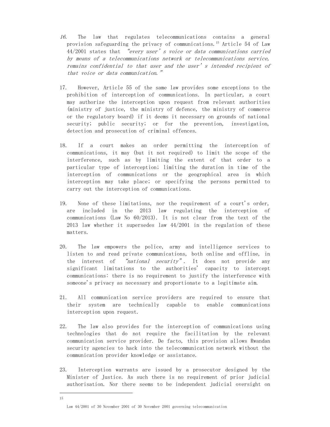- 16. The law that regulates telecommunications contains a general provision safeguarding the privacy of communications.<sup>15</sup> Article 54 of Law 44/2001 states that "every user's voice or data communications carried by means of a telecommunications network or telecommunications service, remains confidential to that user and the user's intended recipient of that voice or data communication."
- 17. However, Article 55 of the same law provides some exceptions to the prohibition of interception of communications. In particular, a court may authorize the interception upon request from relevant authorities (ministry of justice, the ministry of defence, the ministry of commerce or the regulatory board) if it deems it necessary on grounds of national security; public security; or for the prevention, investigation, detection and prosecution of criminal offences.
- 18. If a court makes an order permitting the interception of communications, it may (but it not required) to limit the scope of the interference, such as by limiting the extent of that order to a particular type of interception; limiting the duration in time of the interception of communications or the geographical area in which interception may take place; or specifying the persons permitted to carry out the interception of communications.
- 19. None of these limitations, nor the requirement of a court's order, are included in the 2013 law regulating the interception of communications (Law No 60/2013). It is not clear from the text of the 2013 law whether it supersedes law 44/2001 in the regulation of these matters.
- 20. The law empowers the police, army and intelligence services to listen to and read private communications, both online and offline, in the interest of "national security". It does not provide any significant limitations to the authorities' capacity to intercept communications: there is no requirement to justify the interference with someone's privacy as necessary and proportionate to a legitimate aim.
- 21. All communication service providers are required to ensure that their system are technically capable to enable communications interception upon request.
- 22. The law also provides for the interception of communications using technologies that do not require the facilitation by the relevant communication service provider. De facto, this provision allows Rwandan security agencies to hack into the telecommunication network without the communication provider knowledge or assistance.
- 23. Interception warrants are issued by a prosecutor designed by the Minister of Justice. As such there is no requirement of prior judicial authorisation. Nor there seems to be independent judicial oversight on

j. 15

Law 44/2001 of 30 November 2001 of 30 November 2001 governing telecommunication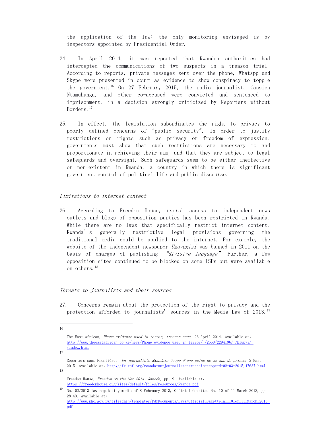the application of the law: the only monitoring envisaged is by inspectors appointed by Presidential Order.

- 24. In April 2014, it was reported that Rwandan authorities had intercepted the communications of two suspects in a treason trial. According to reports, private messages sent over the phone, Whatspp and Skype were presented in court as evidence to show conspiracy to topple the government.<sup>16</sup> On 27 February 2015, the radio journalist, Cassien Ntamuhanga, and other co-accused were convicted and sentenced to imprisonment, in a decision strongly criticized by Reporters without Borders.<sup>17</sup>
- 25. In effect, the legislation subordinates the right to privacy to poorly defined concerns of "public security". In order to justify restrictions on rights such as privacy or freedom of expression, governments must show that such restrictions are necessary to and proportionate in achieving their aim, and that they are subject to legal safeguards and oversight. Such safeguards seem to be either ineffective or non-existent in Rwanda, a country in which there is significant government control of political life and public discourse.

# Limitations to internet content

26. According to Freedom House, users' access to independent news outlets and blogs of opposition parties has been restricted in Rwanda. While there are no laws that specifically restrict internet content, Rwanda's generally restrictive legal provisions governing the traditional media could be applied to the internet. For example, the website of the independent newspaper Umuvugizi was banned in 2011 on the basis of charges of publishing "divisive language" Further, a few opposition sites continued to be blocked on some ISPs but were available on others.<sup>18</sup>

### Threats to journalists and their sources

27. Concerns remain about the protection of the right to privacy and the protection afforded to journalists' sources in the Media Law of 2013.19

j. 16

The East African, Phone evidence used in terror, treason case, 26 April 2014. Available at: http://www.theeastafrican.co.ke/news/Phone-evidence-used-in-terror/-/2558/2294196/-/klwpvi/- /index.html

Reporters sans Frontières, Un journaliste Rwandais écope d'une peine de 25 ans de prison, 2 March 2015. Available at: http://fr.rsf.org/rwanda-un-journaliste-rwandais-ecope-d-02-03-2015,47637.html 18

Freedom House, Freedom on the Net 2014: Rwanda, pp. 9. Available at: https://freedomhouse.org/sites/default/files/resources/Rwanda.pdf

<sup>19</sup> No. 02/2013 law regulating media of 8 February 2013, Official Gazette, No. 10 of 11 March 2013, pp. 28-49. Available at: http://www.mhc.gov.rw/fileadmin/templates/PdfDocuments/Laws/Official\_Gazette\_n\_\_10\_of\_11\_March\_2013. pdf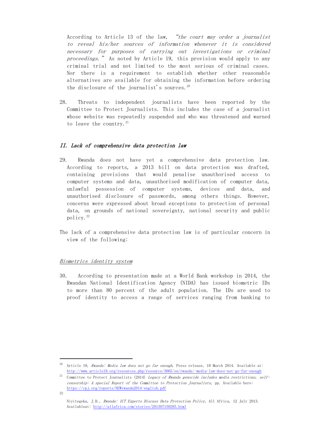According to Article 13 of the law, "the court may order a journalist to reveal his/her sources of information whenever it is considered necessary for purposes of carrying out investigations or criminal proceedings." As noted by Article 19, this provision would apply to any criminal trial and not limited to the most serious of criminal cases. Nor there is a requirement to establish whether other reasonable alternatives are available for obtaining the information before ordering the disclosure of the journalist's sources. $20$ 

28. Threats to independent journalists have been reported by the Committee to Protect Journalists. This includes the case of a journalist whose website was repeatedly suspended and who was threatened and warned to leave the country.  $21$ 

# II. Lack of comprehensive data protection law

- 29. Rwanda does not have yet a comprehensive data protection law. According to reports, a 2013 bill on data protection was drafted, containing provisions that would penalise unauthorised access to computer systems and data, unauthorised modification of computer data, unlawful possession of computer systems, devices and data, unauthorised disclosure of passwords, among others things. However, concerns were expressed about broad exceptions to protection of personal data, on grounds of national sovereignty, national security and public policy. $^{22}$
- The lack of a comprehensive data protection law is of particular concern in view of the following:

### Biometrics identity system

j.

30. According to presentation made at a World Bank workshop in 2014, the Rwandan National Identification Agency (NIDA) has issued biometric IDs to more than 80 percent of the adult population. The IDs are used to proof identity to access a range of services ranging from banking to

Article 19, Rwanda: Media law does not go far enough, Press release, 18 March 2014. Available at: http://www.article19.org/resources.php/resource/3665/en/rwanda:-media-law-does-not-go-far-enough

<sup>&</sup>lt;sup>21</sup> Committee to Protect Journalists (2014) *Legacy of Rwanda genocide includes media restrictions, self*censorship: A special Report of the Committee to Protection Journalists, pp. Available here: https://cpj.org/reports/NEWrwanda2014-english.pdf 22

Niyitegeka, J.D., Rwanda: ICT Experts Discuss Data Protection Policy, All Africa, 12 July 2013. Availableat: http://allafrica.com/stories/201307150285.html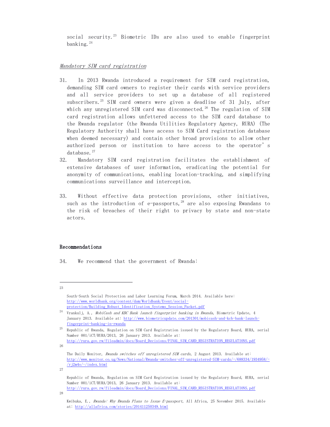social security.<sup>23</sup> Biometric IDs are also used to enable fingerprint banking. $^{24}$ 

# Mandatory SIM card registration

- 31. In 2013 Rwanda introduced a requirement for SIM card registration, demanding SIM card owners to register their cards with service providers and all service providers to set up a database of all registered subscribers.<sup>25</sup> SIM card owners were given a deadline of 31 July, after which any unregistered SIM card was disconnected.<sup>26</sup> The regulation of SIM card registration allows unfettered access to the SIM card database to the Rwanda regulator (the Rwanda Utilities Regulatory Agency, RURA) (The Regulatory Authority shall have access to SIM Card registration database when deemed necessary) and contain other broad provisions to allow other authorized person or institution to have access to the operator's database.27
- 32. Mandatory SIM card registration facilitates the establishment of extensive databases of user information, eradicating the potential for anonymity of communications, enabling location-tracking, and simplifying communications surveillance and interception.
- 33. Without effective data protection provisions, other initiatives, such as the introduction of e-passports,<sup>28</sup> are also exposing Rwandans to the risk of breaches of their right to privacy by state and non-state actors.

### Recommendations

34. We recommend that the government of Rwanda:

j. 23

27

Republic of Rwanda, Regulation on SIM Card Registration issued by the Regulatory Board, RURA, serial Number 001/iCT/RURA/2013, 26 January 2013. Available at: http://rura.gov.rw/fileadmin/docs/Board\_Decisions/FINAL\_SIM\_CARD\_REGISTRATION\_REGULATIONS.pdf

South-South Social Protection and Labor Learning Forum, March 2014. Available here: http://www.worldbank.org/content/dam/Worldbank/Event/socialprotection/Building\_Robust\_Identification\_Systems\_Session\_Packet.pdf

<sup>&</sup>lt;sup>24</sup> Vrankulj, A., *MobiCash and KBC Bank launch fingerprint banking in Rwanda*, Biometric Update, 4 January 2013. Available at: http://www.biometricupdate.com/201301/mobicash-and-kcb-bank-launchfingerprint-banking-in-rwanda

 $^{25}$  Republic of Rwanda, Regulation on SIM Card Registration issued by the Regulatory Board, RURA, serial Number 001/iCT/RURA/2013, 26 January 2013. Available at: http://rura.gov.rw/fileadmin/docs/Board\_Decisions/FINAL\_SIM\_CARD\_REGISTRATION\_REGULATIONS.pdf

<sup>26</sup>

The Daily Monitor, Rwanda switches off unregistered SIM cards, 2 August 2013. Available at: http://www.monitor.co.ug/News/National/Rwanda-switches-off-unregistered-SIM-cards/-/688334/1934958/-  $/r$ j2m4o/-/index.html

Kwibuka, E., Rwanda: Why Rwanda Plans to Issue E-passport, All Africa, 25 November 2015. Available at: http://allafrica.com/stories/201411250349.html